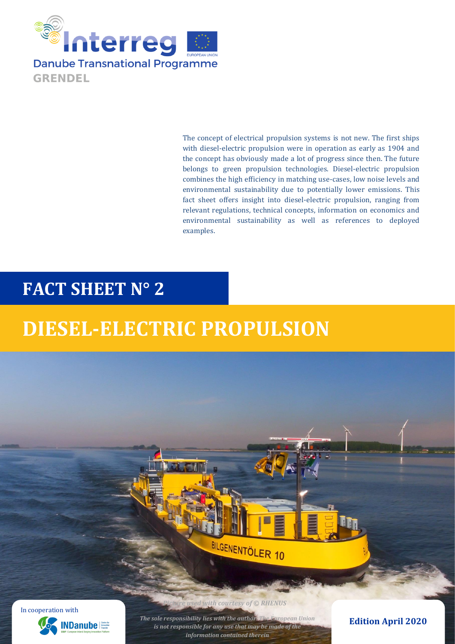

The concept of electrical propulsion systems is not new. The first ships with diesel-electric propulsion were in operation as early as 1904 and the concept has obviously made a lot of progress since then. The future belongs to green propulsion technologies. Diesel-electric propulsion combines the high efficiency in matching use-cases, low noise levels and environmental sustainability due to potentially lower emissions. This fact sheet offers insight into diesel-electric propulsion, ranging from relevant regulations, technical concepts, information on economics and environmental sustainability as well as references to deployed examples.

# **FACT SHEET N° 2**

# **DIESEL-ELECTRIC PROPULSION**



*Picture With courtesy of © RHENUS* 

*The sole responsibility lies with the author. The European Union is not responsible for any use that may be made of the information contained therein*

BILGENENTÖLER 10

**Edition April 2020**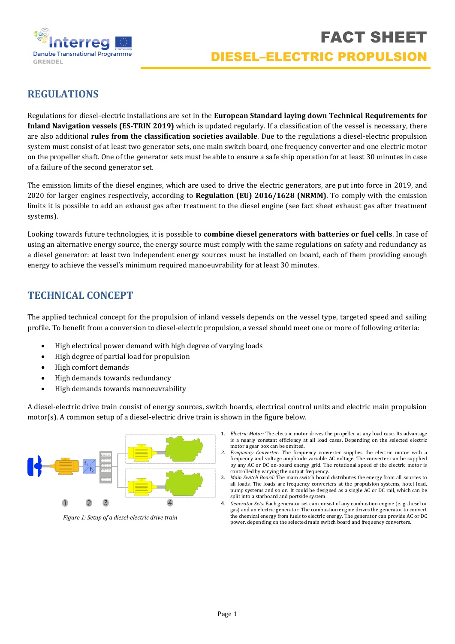

# **REGULATIONS**

Regulations for diesel-electric installations are set in the **European Standard laying down Technical Requirements for Inland Navigation vessels (ES-TRIN 2019)** which is updated regularly. If a classification of the vessel is necessary, there are also additional **rules from the classification societies available**. Due to the regulations a diesel-electric propulsion system must consist of at least two generator sets, one main switch board, one frequency converter and one electric motor on the propeller shaft. One of the generator sets must be able to ensure a safe ship operation for at least 30 minutes in case of a failure of the second generator set.

The emission limits of the diesel engines, which are used to drive the electric generators, are put into force in 2019, and 2020 for larger engines respectively, according to **Regulation (EU) 2016/1628 (NRMM)**. To comply with the emission limits it is possible to add an exhaust gas after treatment to the diesel engine (see fact sheet exhaust gas after treatment systems).

Looking towards future technologies, it is possible to **combine diesel generators with batteries or fuel cells**. In case of using an alternative energy source, the energy source must comply with the same regulations on safety and redundancy as a diesel generator: at least two independent energy sources must be installed on board, each of them providing enough energy to achieve the vessel's minimum required manoeuvrability for at least 30 minutes.

# **TECHNICAL CONCEPT**

The applied technical concept for the propulsion of inland vessels depends on the vessel type, targeted speed and sailing profile. To benefit from a conversion to diesel-electric propulsion, a vessel should meet one or more of following criteria:

- High electrical power demand with high degree of varying loads
- High degree of partial load for propulsion
- High comfort demands
- High demands towards redundancy
- High demands towards manoeuvrability

A diesel-electric drive train consist of energy sources, switch boards, electrical control units and electric main propulsion motor(s). A common setup of a diesel-electric drive train is shown in the figure below.



*Figure 1: Setup of a diesel-electric drive train*

- 1. *Electric Motor:* The electric motor drives the propeller at any load case. Its advantage is a nearly constant efficiency at all load cases. Depending on the selected electric motor a gear box can be omitted.
- *2. Frequency Converter:* The frequency converter supplies the electric motor with a frequency and voltage amplitude variable AC voltage. The converter can be supplied by any AC or DC on-board energy grid. The rotational speed of the electric motor is controlled by varying the output frequency.
- 3. *Main Switch Board:* The main switch board distributes the energy from all sources to all loads. The loads are frequency converters at the propulsion systems, hotel load, pump systems and so on. It could be designed as a single AC or DC rail, which can be split into a starboard and portside system.
- 4. *Generator Sets:* Each generator set can consist of any combustion engine (e. g. diesel or gas) and an electric generator. The combustion engine drives the generator to convert the chemical energy from fuels to electric energy. The generator can provide AC or DC power, depending on the selected main switch board and frequency converters.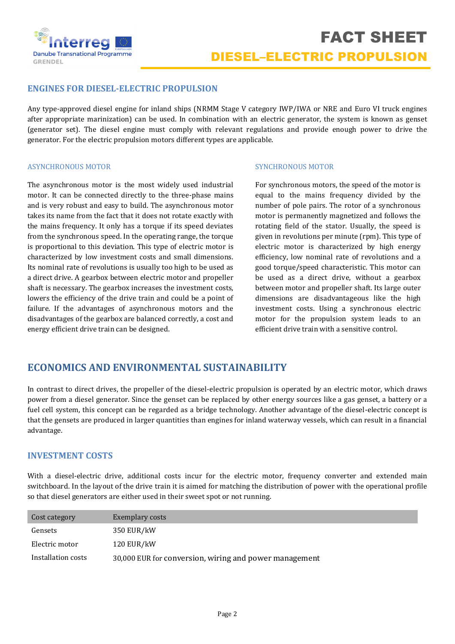

#### **ENGINES FOR DIESEL-ELECTRIC PROPULSION**

Any type-approved diesel engine for inland ships (NRMM Stage V category IWP/IWA or NRE and Euro VI truck engines after appropriate marinization) can be used. In combination with an electric generator, the system is known as genset (generator set). The diesel engine must comply with relevant regulations and provide enough power to drive the generator. For the electric propulsion motors different types are applicable.

#### ASYNCHRONOUS MOTOR

The asynchronous motor is the most widely used industrial motor. It can be connected directly to the three-phase mains and is very robust and easy to build. The asynchronous motor takes its name from the fact that it does not rotate exactly with the mains frequency. It only has a torque if its speed deviates from the synchronous speed. In the operating range, the torque is proportional to this deviation. This type of electric motor is characterized by low investment costs and small dimensions. Its nominal rate of revolutions is usually too high to be used as a direct drive. A gearbox between electric motor and propeller shaft is necessary. The gearbox increases the investment costs, lowers the efficiency of the drive train and could be a point of failure. If the advantages of asynchronous motors and the disadvantages of the gearbox are balanced correctly, a cost and energy efficient drive train can be designed.

#### SYNCHRONOUS MOTOR

For synchronous motors, the speed of the motor is equal to the mains frequency divided by the number of pole pairs. The rotor of a synchronous motor is permanently magnetized and follows the rotating field of the stator. Usually, the speed is given in revolutions per minute (rpm). This type of electric motor is characterized by high energy efficiency, low nominal rate of revolutions and a good torque/speed characteristic. This motor can be used as a direct drive, without a gearbox between motor and propeller shaft. Its large outer dimensions are disadvantageous like the high investment costs. Using a synchronous electric motor for the propulsion system leads to an efficient drive train with a sensitive control.

## **ECONOMICS AND ENVIRONMENTAL SUSTAINABILITY**

In contrast to direct drives, the propeller of the diesel-electric propulsion is operated by an electric motor, which draws power from a diesel generator. Since the genset can be replaced by other energy sources like a gas genset, a battery or a fuel cell system, this concept can be regarded as a bridge technology. Another advantage of the diesel-electric concept is that the gensets are produced in larger quantities than engines for inland waterway vessels, which can result in a financial advantage.

#### **INVESTMENT COSTS**

With a diesel-electric drive, additional costs incur for the electric motor, frequency converter and extended main switchboard. In the layout of the drive train it is aimed for matching the distribution of power with the operational profile so that diesel generators are either used in their sweet spot or not running.

| Cost category      | Exemplary costs                                        |
|--------------------|--------------------------------------------------------|
| Gensets            | 350 EUR/kW                                             |
| Electric motor     | 120 EUR/kW                                             |
| Installation costs | 30,000 EUR for conversion, wiring and power management |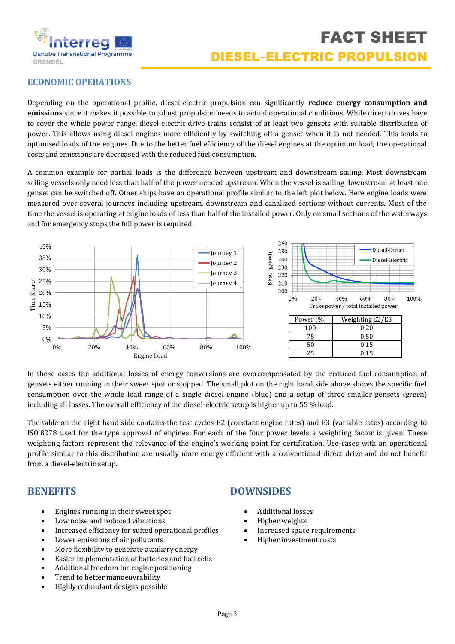

### **ECONOMIC OPERATIONS**

Depending on the operational profile, diesel-electric propulsion can significantly **reduce energy consumption and emissions** since it makes it possible to adjust propulsion needs to actual operational conditions. While direct drives have to cover the whole power range, diesel-electric drive trains consist of at least two gensets with suitable distribution of power. This allows using diesel engines more efficiently by switching off a genset when it is not needed. This leads to optimised loads of the engines. Due to the better fuel efficiency of the diesel engines at the optimum load, the operational costs and emissions are decreased with the reduced fuel consumption.

A common example for partial loads is the difference between upstream and downstream sailing. Most downstream sailing vessels only need less than half of the power needed upstream. When the vessel is sailing downstream at least one genset can be switched off. Other ships have an operational profile similar to the left plot below. Here engine loads were measured over several journeys including upstream, downstream and canalized sections without currents. Most of the time the vessel is operating at engine loads of less than half of the installed power. Only on small sections of the waterways and for emergency stops the full power is required.



In these cases the additional losses of energy conversions are overcompensated by the reduced fuel consumption of gensets either running in their sweet spot or stopped. The small plot on the right hand side above shows the specific fuel consumption over the whole load range of a single diesel engine (blue) and a setup of three smaller gensets (green) including all losses. The overall efficiency of the diesel-electric setup is higher up to 55 % load.

The table on the right hand side contains the test cycles E2 (constant engine rates) and E3 (variable rates) according to ISO 8278 used for the type approval of engines. For each of the four power levels a weighting factor is given. These weighting factors represent the relevance of the engine's working point for certification. Use-cases with an operational profile similar to this distribution are usually more energy efficient with a conventional direct drive and do not benefit from a diesel-electric setup.

### **BENEFITS**

- Engines running in their sweet spot
- Low noise and reduced vibrations
- Increased efficiency for suited operational profiles
- Lower emissions of air pollutants
- More flexibility to generate auxiliary energy
- Easier implementation of batteries and fuel cells
- Additional freedom for engine positioning
- Trend to better manoeuvrability
- Highly redundant designs possible

### **DOWNSIDES**

- Additional losses
- Higher weights
- Increased space requirements
- Higher investment costs